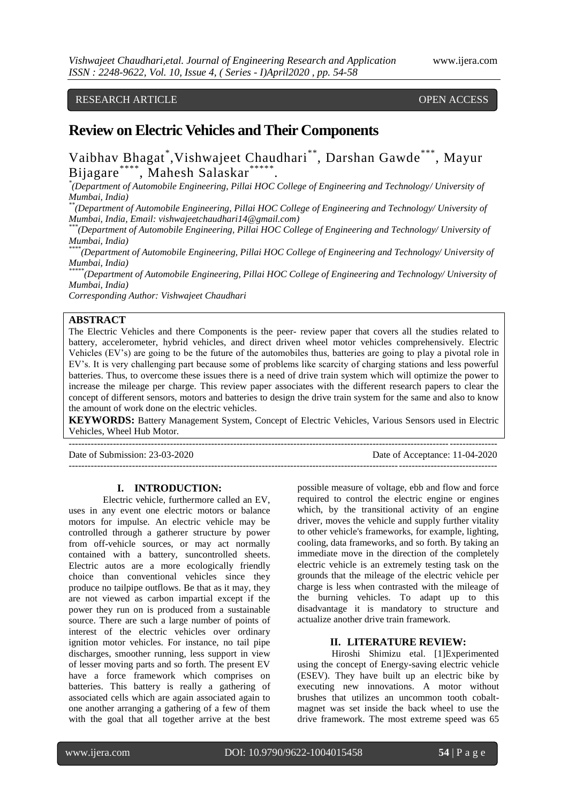## RESEARCH ARTICLE OPEN ACCESS

# **Review on Electric Vehicles and Their Components**

Vaibhav Bhagat\*, Vishwajeet Chaudhari\*\*, Darshan Gawde\*\*\*, Mayur Bijagare\*\*\*\*, Mahesh Salaskar<sup>\*</sup> .

*\* (Department of Automobile Engineering, Pillai HOC College of Engineering and Technology/ University of Mumbai, India)*

*\*\*(Department of Automobile Engineering, Pillai HOC College of Engineering and Technology/ University of Mumbai, India, Email: vishwajeetchaudhari14@gmail.com)*

*\*\*\*(Department of Automobile Engineering, Pillai HOC College of Engineering and Technology/ University of Mumbai, India)*

*\*\*\*\*(Department of Automobile Engineering, Pillai HOC College of Engineering and Technology/ University of Mumbai, India)*

*\*\*\*\*\*(Department of Automobile Engineering, Pillai HOC College of Engineering and Technology/ University of Mumbai, India)*

*Corresponding Author: Vishwajeet Chaudhari*

#### **ABSTRACT**

The Electric Vehicles and there Components is the peer- review paper that covers all the studies related to battery, accelerometer, hybrid vehicles, and direct driven wheel motor vehicles comprehensively. Electric Vehicles (EV's) are going to be the future of the automobiles thus, batteries are going to play a pivotal role in EV's. It is very challenging part because some of problems like scarcity of charging stations and less powerful batteries. Thus, to overcome these issues there is a need of drive train system which will optimize the power to increase the mileage per charge. This review paper associates with the different research papers to clear the concept of different sensors, motors and batteries to design the drive train system for the same and also to know the amount of work done on the electric vehicles.

**KEYWORDS:** Battery Management System, Concept of Electric Vehicles, Various Sensors used in Electric Vehicles, Wheel Hub Motor.

 $-1-\frac{1}{2}$ 

Date of Submission: 23-03-2020 Date of Acceptance: 11-04-2020

---------------------------------------------------------------------------------------------------------------------------------------

**I. INTRODUCTION:**

Electric vehicle, furthermore called an EV, uses in any event one electric motors or balance motors for impulse. An electric vehicle may be controlled through a gatherer structure by power from off-vehicle sources, or may act normally contained with a battery, suncontrolled sheets. Electric autos are a more ecologically friendly choice than conventional vehicles since they produce no tailpipe outflows. Be that as it may, they are not viewed as carbon impartial except if the power they run on is produced from a sustainable source. There are such a large number of points of interest of the electric vehicles over ordinary ignition motor vehicles. For instance, no tail pipe discharges, smoother running, less support in view of lesser moving parts and so forth. The present EV have a force framework which comprises on batteries. This battery is really a gathering of associated cells which are again associated again to one another arranging a gathering of a few of them with the goal that all together arrive at the best possible measure of voltage, ebb and flow and force required to control the electric engine or engines which, by the transitional activity of an engine driver, moves the vehicle and supply further vitality to other vehicle's frameworks, for example, lighting, cooling, data frameworks, and so forth. By taking an immediate move in the direction of the completely electric vehicle is an extremely testing task on the grounds that the mileage of the electric vehicle per charge is less when contrasted with the mileage of the burning vehicles. To adapt up to this disadvantage it is mandatory to structure and actualize another drive train framework.

### **II. LITERATURE REVIEW:**

Hiroshi Shimizu etal. [1]Experimented using the concept of Energy-saving electric vehicle (ESEV). They have built up an electric bike by executing new innovations. A motor without brushes that utilizes an uncommon tooth cobaltmagnet was set inside the back wheel to use the drive framework. The most extreme speed was 65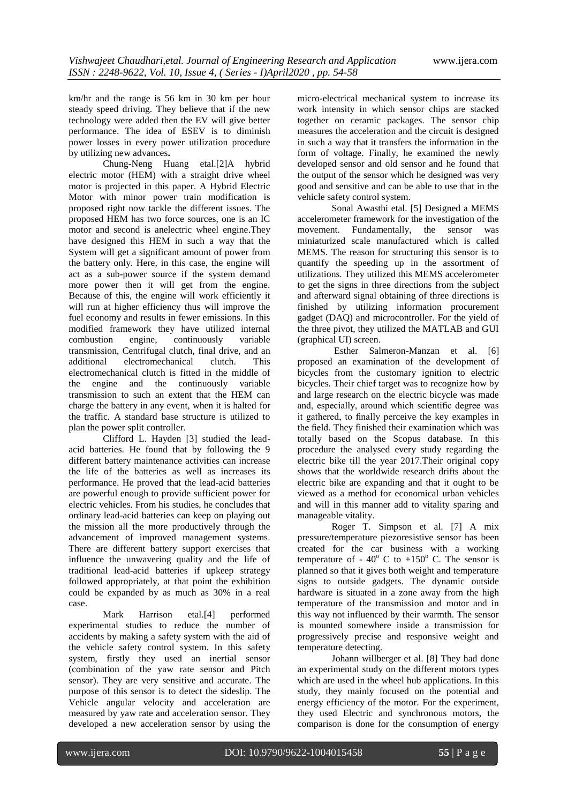km/hr and the range is 56 km in 30 km per hour steady speed driving. They believe that if the new technology were added then the EV will give better performance. The idea of ESEV is to diminish power losses in every power utilization procedure by utilizing new advances**.**

Chung-Neng Huang etal.[2]A hybrid electric motor (HEM) with a straight drive wheel motor is projected in this paper. A Hybrid Electric Motor with minor power train modification is proposed right now tackle the different issues. The proposed HEM has two force sources, one is an IC motor and second is anelectric wheel engine.They have designed this HEM in such a way that the System will get a significant amount of power from the battery only. Here, in this case, the engine will act as a sub-power source if the system demand more power then it will get from the engine. Because of this, the engine will work efficiently it will run at higher efficiency thus will improve the fuel economy and results in fewer emissions. In this modified framework they have utilized internal combustion engine, continuously variable transmission, Centrifugal clutch, final drive, and an additional electromechanical clutch. This electromechanical clutch is fitted in the middle of the engine and the continuously variable transmission to such an extent that the HEM can charge the battery in any event, when it is halted for the traffic. A standard base structure is utilized to plan the power split controller.

Clifford L. Hayden [3] studied the leadacid batteries. He found that by following the 9 different battery maintenance activities can increase the life of the batteries as well as increases its performance. He proved that the lead-acid batteries are powerful enough to provide sufficient power for electric vehicles. From his studies, he concludes that ordinary lead-acid batteries can keep on playing out the mission all the more productively through the advancement of improved management systems. There are different battery support exercises that influence the unwavering quality and the life of traditional lead-acid batteries if upkeep strategy followed appropriately, at that point the exhibition could be expanded by as much as 30% in a real case.

Mark Harrison etal.[4] performed experimental studies to reduce the number of accidents by making a safety system with the aid of the vehicle safety control system. In this safety system, firstly they used an inertial sensor (combination of the yaw rate sensor and Pitch sensor). They are very sensitive and accurate. The purpose of this sensor is to detect the sideslip. The Vehicle angular velocity and acceleration are measured by yaw rate and acceleration sensor. They developed a new acceleration sensor by using the micro-electrical mechanical system to increase its work intensity in which sensor chips are stacked together on ceramic packages. The sensor chip measures the acceleration and the circuit is designed in such a way that it transfers the information in the form of voltage. Finally, he examined the newly developed sensor and old sensor and he found that the output of the sensor which he designed was very good and sensitive and can be able to use that in the vehicle safety control system.

Sonal Awasthi etal. [5] Designed a MEMS accelerometer framework for the investigation of the movement. Fundamentally, the sensor was miniaturized scale manufactured which is called MEMS. The reason for structuring this sensor is to quantify the speeding up in the assortment of utilizations. They utilized this MEMS accelerometer to get the signs in three directions from the subject and afterward signal obtaining of three directions is finished by utilizing information procurement gadget (DAQ) and microcontroller. For the yield of the three pivot, they utilized the MATLAB and GUI (graphical UI) screen.

Esther Salmeron-Manzan et al. [6] proposed an examination of the development of bicycles from the customary ignition to electric bicycles. Their chief target was to recognize how by and large research on the electric bicycle was made and, especially, around which scientific degree was it gathered, to finally perceive the key examples in the field. They finished their examination which was totally based on the Scopus database. In this procedure the analysed every study regarding the electric bike till the year 2017.Their original copy shows that the worldwide research drifts about the electric bike are expanding and that it ought to be viewed as a method for economical urban vehicles and will in this manner add to vitality sparing and manageable vitality.

Roger T. Simpson et al. [7] A mix pressure/temperature piezoresistive sensor has been created for the car business with a working temperature of -  $40^{\circ}$  C to  $+150^{\circ}$  C. The sensor is planned so that it gives both weight and temperature signs to outside gadgets. The dynamic outside hardware is situated in a zone away from the high temperature of the transmission and motor and in this way not influenced by their warmth. The sensor is mounted somewhere inside a transmission for progressively precise and responsive weight and temperature detecting.

Johann willberger et al. [8] They had done an experimental study on the different motors types which are used in the wheel hub applications. In this study, they mainly focused on the potential and energy efficiency of the motor. For the experiment, they used Electric and synchronous motors, the comparison is done for the consumption of energy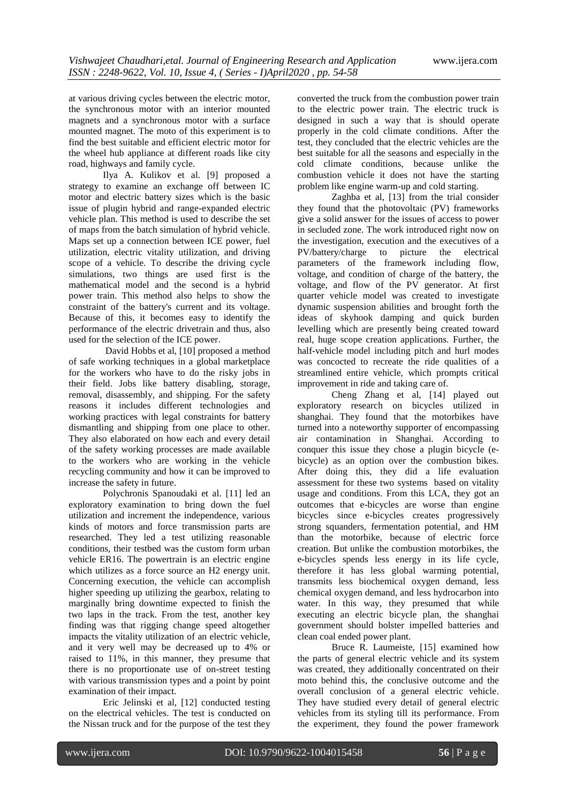at various driving cycles between the electric motor, the synchronous motor with an interior mounted magnets and a synchronous motor with a surface mounted magnet. The moto of this experiment is to find the best suitable and efficient electric motor for the wheel hub appliance at different roads like city road, highways and family cycle.

Ilya A. Kulikov et al. [9] proposed a strategy to examine an exchange off between IC motor and electric battery sizes which is the basic issue of plugin hybrid and range-expanded electric vehicle plan. This method is used to describe the set of maps from the batch simulation of hybrid vehicle. Maps set up a connection between ICE power, fuel utilization, electric vitality utilization, and driving scope of a vehicle. To describe the driving cycle simulations, two things are used first is the mathematical model and the second is a hybrid power train. This method also helps to show the constraint of the battery's current and its voltage. Because of this, it becomes easy to identify the performance of the electric drivetrain and thus, also used for the selection of the ICE power.

David Hobbs et al, [10] proposed a method of safe working techniques in a global marketplace for the workers who have to do the risky jobs in their field. Jobs like battery disabling, storage, removal, disassembly, and shipping. For the safety reasons it includes different technologies and working practices with legal constraints for battery dismantling and shipping from one place to other. They also elaborated on how each and every detail of the safety working processes are made available to the workers who are working in the vehicle recycling community and how it can be improved to increase the safety in future.

Polychronis Spanoudaki et al. [11] led an exploratory examination to bring down the fuel utilization and increment the independence, various kinds of motors and force transmission parts are researched. They led a test utilizing reasonable conditions, their testbed was the custom form urban vehicle ER16. The powertrain is an electric engine which utilizes as a force source an H<sub>2</sub> energy unit. Concerning execution, the vehicle can accomplish higher speeding up utilizing the gearbox, relating to marginally bring downtime expected to finish the two laps in the track. From the test, another key finding was that rigging change speed altogether impacts the vitality utilization of an electric vehicle, and it very well may be decreased up to 4% or raised to 11%, in this manner, they presume that there is no proportionate use of on-street testing with various transmission types and a point by point examination of their impact.

Eric Jelinski et al, [12] conducted testing on the electrical vehicles. The test is conducted on the Nissan truck and for the purpose of the test they converted the truck from the combustion power train to the electric power train. The electric truck is designed in such a way that is should operate properly in the cold climate conditions. After the test, they concluded that the electric vehicles are the best suitable for all the seasons and especially in the cold climate conditions, because unlike the combustion vehicle it does not have the starting problem like engine warm-up and cold starting.

Zaghba et al, [13] from the trial consider they found that the photovoltaic (PV) frameworks give a solid answer for the issues of access to power in secluded zone. The work introduced right now on the investigation, execution and the executives of a PV/battery/charge to picture the electrical parameters of the framework including flow, voltage, and condition of charge of the battery, the voltage, and flow of the PV generator. At first quarter vehicle model was created to investigate dynamic suspension abilities and brought forth the ideas of skyhook damping and quick burden levelling which are presently being created toward real, huge scope creation applications. Further, the half-vehicle model including pitch and hurl modes was concocted to recreate the ride qualities of a streamlined entire vehicle, which prompts critical improvement in ride and taking care of.

Cheng Zhang et al, [14] played out exploratory research on bicycles utilized in shanghai. They found that the motorbikes have turned into a noteworthy supporter of encompassing air contamination in Shanghai. According to conquer this issue they chose a plugin bicycle (ebicycle) as an option over the combustion bikes. After doing this, they did a life evaluation assessment for these two systems based on vitality usage and conditions. From this LCA, they got an outcomes that e-bicycles are worse than engine bicycles since e-bicycles creates progressively strong squanders, fermentation potential, and HM than the motorbike, because of electric force creation. But unlike the combustion motorbikes, the e-bicycles spends less energy in its life cycle, therefore it has less global warming potential, transmits less biochemical oxygen demand, less chemical oxygen demand, and less hydrocarbon into water. In this way, they presumed that while executing an electric bicycle plan, the shanghai government should bolster impelled batteries and clean coal ended power plant.

Bruce R. Laumeiste, [15] examined how the parts of general electric vehicle and its system was created, they additionally concentrated on their moto behind this, the conclusive outcome and the overall conclusion of a general electric vehicle. They have studied every detail of general electric vehicles from its styling till its performance. From the experiment, they found the power framework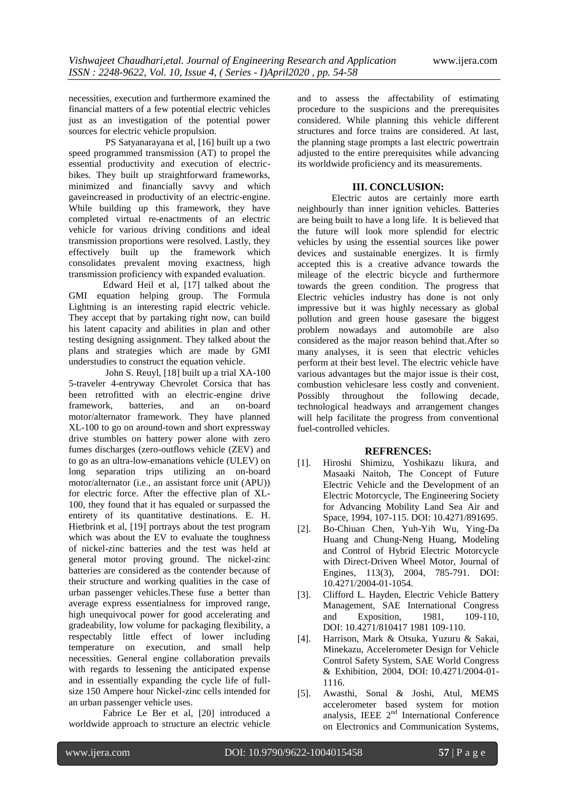necessities, execution and furthermore examined the financial matters of a few potential electric vehicles just as an investigation of the potential power sources for electric vehicle propulsion.

PS Satyanarayana et al, [16] built up a two speed programmed transmission (AT) to propel the essential productivity and execution of electricbikes. They built up straightforward frameworks, minimized and financially savvy and which gaveincreased in productivity of an electric-engine. While building up this framework, they have completed virtual re-enactments of an electric vehicle for various driving conditions and ideal transmission proportions were resolved. Lastly, they effectively built up the framework which consolidates prevalent moving exactness, high transmission proficiency with expanded evaluation.

Edward Heil et al, [17] talked about the GMI equation helping group. The Formula Lightning is an interesting rapid electric vehicle. They accept that by partaking right now, can build his latent capacity and abilities in plan and other testing designing assignment. They talked about the plans and strategies which are made by GMI understudies to construct the equation vehicle.

John S. Reuyl, [18] built up a trial XA-100 5-traveler 4-entryway Chevrolet Corsica that has been retrofitted with an electric-engine drive framework, batteries, and an on-board motor/alternator framework. They have planned XL-100 to go on around-town and short expressway drive stumbles on battery power alone with zero fumes discharges (zero-outflows vehicle (ZEV) and to go as an ultra-low-emanations vehicle (ULEV) on long separation trips utilizing an on-board motor/alternator (i.e., an assistant force unit (APU)) for electric force. After the effective plan of XL-100, they found that it has equaled or surpassed the entirety of its quantitative destinations. E. H. Hietbrink et al, [19] portrays about the test program which was about the EV to evaluate the toughness of nickel-zinc batteries and the test was held at general motor proving ground. The nickel-zinc batteries are considered as the contender because of their structure and working qualities in the case of urban passenger vehicles.These fuse a better than average express essentialness for improved range, high unequivocal power for good accelerating and gradeability, low volume for packaging flexibility, a respectably little effect of lower including temperature on execution, and small help necessities. General engine collaboration prevails with regards to lessening the anticipated expense and in essentially expanding the cycle life of fullsize 150 Ampere hour Nickel-zinc cells intended for an urban passenger vehicle uses.

Fabrice Le Ber et al, [20] introduced a worldwide approach to structure an electric vehicle and to assess the affectability of estimating procedure to the suspicions and the prerequisites considered. While planning this vehicle different structures and force trains are considered. At last, the planning stage prompts a last electric powertrain adjusted to the entire prerequisites while advancing its worldwide proficiency and its measurements.

#### **III. CONCLUSION:**

Electric autos are certainly more earth neighbourly than inner ignition vehicles. Batteries are being built to have a long life. It is believed that the future will look more splendid for electric vehicles by using the essential sources like power devices and sustainable energizes. It is firmly accepted this is a creative advance towards the mileage of the electric bicycle and furthermore towards the green condition. The progress that Electric vehicles industry has done is not only impressive but it was highly necessary as global pollution and green house gasesare the biggest problem nowadays and automobile are also considered as the major reason behind that.After so many analyses, it is seen that electric vehicles perform at their best level. The electric vehicle have various advantages but the major issue is their cost, combustion vehiclesare less costly and convenient. Possibly throughout the following decade, technological headways and arrangement changes will help facilitate the progress from conventional fuel-controlled vehicles.

#### **REFRENCES:**

- [1]. Hiroshi Shimizu, Yoshikazu likura, and Masaaki Naitoh, The Concept of Future Electric Vehicle and the Development of an Electric Motorcycle, The Engineering Society for Advancing Mobility Land Sea Air and Space, 1994, 107-115. DOI: [10.4271/891695.](https://www.researchgate.net/deref/http%3A%2F%2Fdx.doi.org%2F10.4271%2F891695)
- [2]. Bo-Chiuan Chen, Yuh-Yih Wu, Ying-Da Huang and Chung-Neng Huang, Modeling and Control of Hybrid Electric Motorcycle with Direct-Driven Wheel Motor, Journal of Engines, 113(3), 2004, 785-791. DOI: 10.4271/2004-01-1054.
- [3]. Clifford L. Hayden, Electric Vehicle Battery Management, SAE International Congress and Exposition, 1981, 109-110, DOI: 10.4271/810417 1981 109-110.
- [4]. Harrison, Mark & Otsuka, Yuzuru & Sakai, Minekazu, Accelerometer Design for Vehicle Control Safety System, SAE World Congress & Exhibition, 2004, DOI: [10.4271/2004-01-](https://www.researchgate.net/deref/http%3A%2F%2Fdx.doi.org%2F10.4271%2F2004-01-1116) [1116.](https://www.researchgate.net/deref/http%3A%2F%2Fdx.doi.org%2F10.4271%2F2004-01-1116)
- [5]. Awasthi, Sonal & Joshi, Atul, MEMS accelerometer based system for motion analysis, IEEE  $2<sup>nd</sup>$  International Conference on Electronics and Communication Systems,